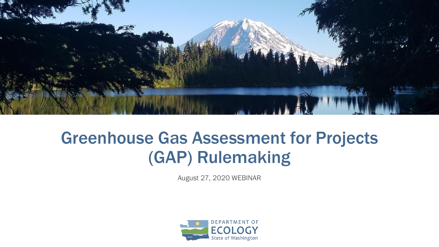August 27, 2020 WEBINAR





#### Greenhouse Gas Assessment for Projects (GAP) Rulemaking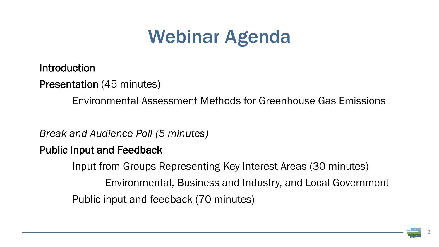### Webinar Agenda

Introduction

Presentation (45 minutes)

Environmental Assessment Methods for Greenhouse Gas Emissions

*Break and Audience Poll (5 minutes)* Public Input and Feedback Input from Groups Representing Key Interest Areas (30 minutes) Environmental, Business and Industry, and Local Government Public input and feedback (70 minutes)



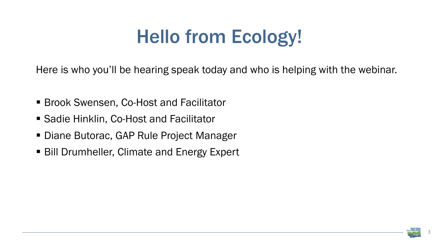### Hello from Ecology!

Here is who you'll be hearing speak today and who is helping with the webinar.

- Brook Swensen, Co-Host and Facilitator
- Sadie Hinklin, Co-Host and Facilitator
- Diane Butorac, GAP Rule Project Manager
- Bill Drumheller, Climate and Energy Expert



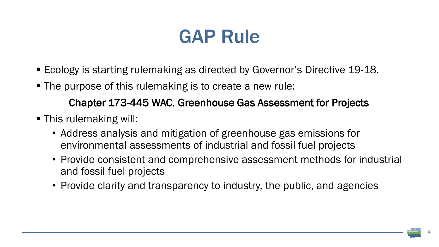#### GAP Rule

- Ecology is starting rulemaking as directed by Governor's Directive 19-18.
- The purpose of this rulemaking is to create a new rule: Chapter 173-445 WAC, Greenhouse Gas Assessment for Projects
- **This rulemaking will:** 
	- Address analysis and mitigation of greenhouse gas emissions for environmental assessments of industrial and fossil fuel projects • Provide consistent and comprehensive assessment methods for industrial
	- and fossil fuel projects
	- Provide clarity and transparency to industry, the public, and agencies

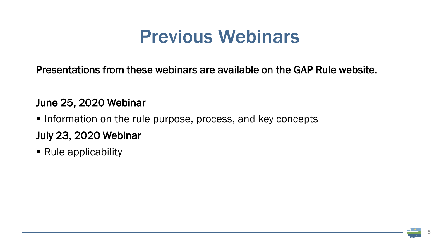#### Previous Webinars

Presentations from these webinars are available on the GAP Rule website.

#### June 25, 2020 Webinar

- **Information on the rule purpose, process, and key concepts** July 23, 2020 Webinar
- Rule applicability

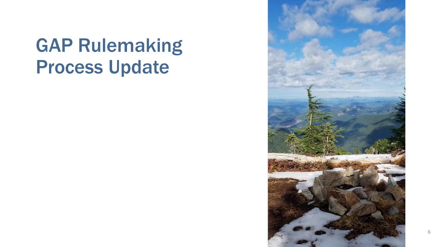#### GAP Rulemaking Process Update

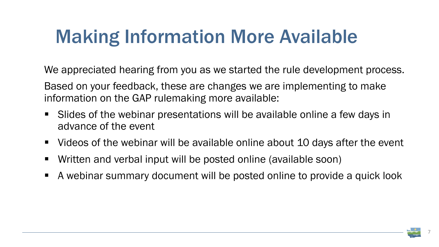### Making Information More Available

We appreciated hearing from you as we started the rule development process. Based on your feedback, these are changes we are implementing to make information on the GAP rulemaking more available:

- Slides of the webinar presentations will be available online a few days in advance of the event
- Videos of the webinar will be available online about 10 days after the event
- Written and verbal input will be posted online (available soon)
- A webinar summary document will be posted online to provide a quick look

- 
- 

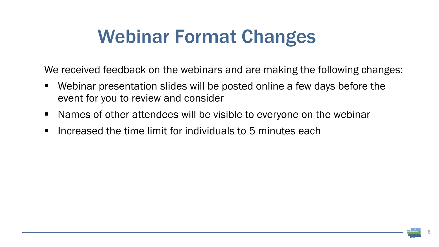### Webinar Format Changes

- Webinar presentation slides will be posted online a few days before the event for you to review and consider
- Names of other attendees will be visible to everyone on the webinar
- **Increased the time limit for individuals to 5 minutes each**



We received feedback on the webinars and are making the following changes: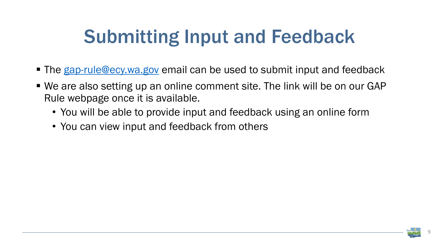### Submitting Input and Feedback

- The [gap-rule@ecy.wa.gov](mailto:gap-rule@ecy.wa.gov) email can be used to submit input and feedback
- We are also setting up an online comment site. The link will be on our GAP Rule webpage once it is available.
	- You will be able to provide input and feedback using an online form
	- You can view input and feedback from others

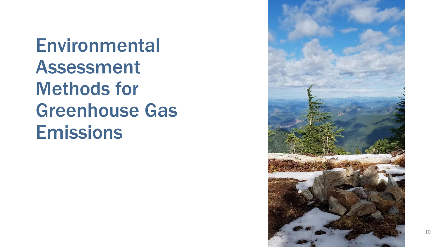**Environmental** Assessment Methods for Greenhouse Gas Emissions

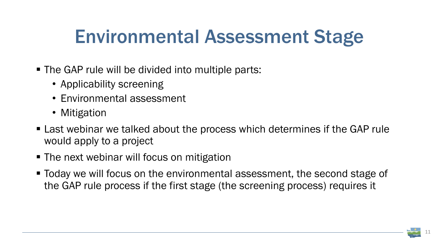### Environmental Assessment Stage

- **The GAP rule will be divided into multiple parts:** 
	- Applicability screening
	- Environmental assessment
	- Mitigation
- Last webinar we talked about the process which determines if the GAP rule would apply to a project
- The next webinar will focus on mitigation
- Today we will focus on the environmental assessment, the second stage of the GAP rule process if the first stage (the screening process) requires it

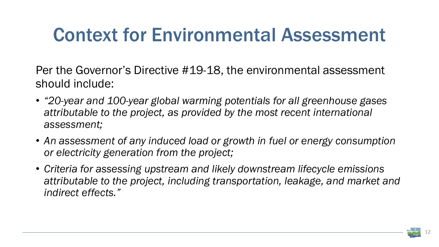#### Context for Environmental Assessment

Per the Governor's Directive #19-18, the environmental assessment should include:

- *"20-year and 100-year global warming potentials for all greenhouse gases attributable to the project, as provided by the most recent international assessment;*
- An assessment of any induced load or growth in fuel or energy consumption *or electricity generation from the project;*
- *Criteria for assessing upstream and likely downstream lifecycle emissions attributable to the project, including transportation, leakage, and market and indirect effects."*



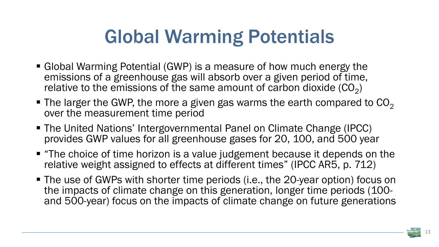

### Global Warming Potentials

- Global Warming Potential (GWP) is a measure of how much energy the emissions of a greenhouse gas will absorb over a given period of time, relative to the emissions of the same amount of carbon dioxide  $(CO<sub>2</sub>)$
- $\blacksquare$  The larger the GWP, the more a given gas warms the earth compared to  $CO<sub>2</sub>$ over the measurement time period
- The United Nations' Intergovernmental Panel on Climate Change (IPCC) provides GWP values for all greenhouse gases for 20, 100, and 500 year
- **The choice of time horizon is a value judgement because it depends on the** relative weight assigned to effects at different times" (IPCC AR5, p. 712)
- The use of GWPs with shorter time periods (i.e., the 20-year option) focus on the impacts of climate change on this generation, longer time periods (100 and 500-year) focus on the impacts of climate change on future generations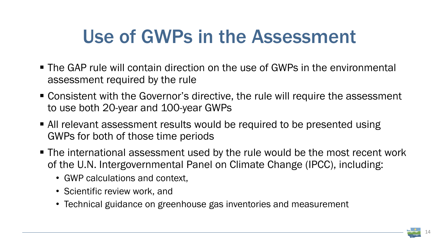### Use of GWPs in the Assessment

- The GAP rule will contain direction on the use of GWPs in the environmental assessment required by the rule
- Consistent with the Governor's directive, the rule will require the assessment to use both 20-year and 100-year GWPs
- All relevant assessment results would be required to be presented using GWPs for both of those time periods
- **The international assessment used by the rule would be the most recent work** of the U.N. Intergovernmental Panel on Climate Change (IPCC), including:
	- GWP calculations and context,
	- Scientific review work, and
	- Technical guidance on greenhouse gas inventories and measurement

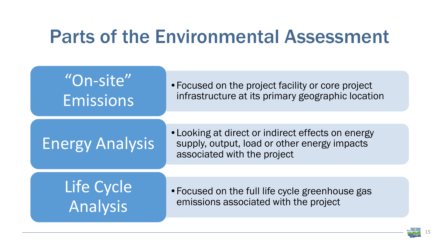#### Parts of the Environmental Assessment

| "On-site"              | • Focused on the project                                                         |
|------------------------|----------------------------------------------------------------------------------|
| Emissions              | infrastructure at its prin                                                       |
| <b>Energy Analysis</b> | • Looking at direct or ind<br>supply, output, load or<br>associated with the pro |
| Life Cycle             | . Focused on the full life                                                       |
| Analysis               | emissions associated v                                                           |

facility or core project mary geographic location

lirect effects on energy other energy impacts oject

cycle greenhouse gas with the project

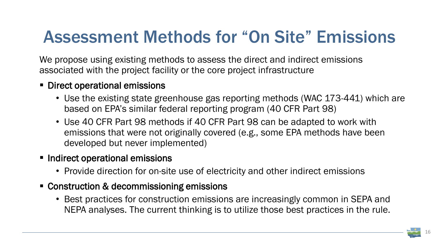

#### Assessment Methods for "On Site" Emissions

We propose using existing methods to assess the direct and indirect emissions associated with the project facility or the core project infrastructure

- Direct operational emissions
	- Use the existing state greenhouse gas reporting methods (WAC 173-441) which are based on EPA's similar federal reporting program (40 CFR Part 98)
	- Use 40 CFR Part 98 methods if 40 CFR Part 98 can be adapted to work with emissions that were not originally covered (e.g., some EPA methods have been developed but never implemented)
- **Indirect operational emissions** 
	- Provide direction for on-site use of electricity and other indirect emissions
- Construction & decommissioning emissions
	- Best practices for construction emissions are increasingly common in SEPA and NEPA analyses. The current thinking is to utilize those best practices in the rule.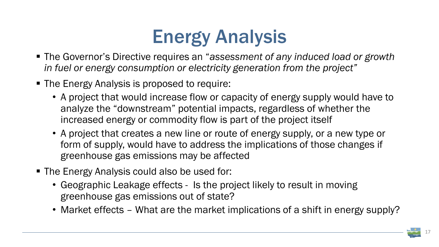# Energy Analysis

- The Governor's Directive requires an "*assessment of any induced load or growth in fuel or energy consumption or electricity generation from the project"*
- The Energy Analysis is proposed to require:
	- A project that would increase flow or capacity of energy supply would have to analyze the "downstream" potential impacts, regardless of whether the increased energy or commodity flow is part of the project itself
	- A project that creates a new line or route of energy supply, or a new type or form of supply, would have to address the implications of those changes if greenhouse gas emissions may be affected
- The Energy Analysis could also be used for:
	- Geographic Leakage effects Is the project likely to result in moving greenhouse gas emissions out of state?
	- Market effects What are the market implications of a shift in energy supply?

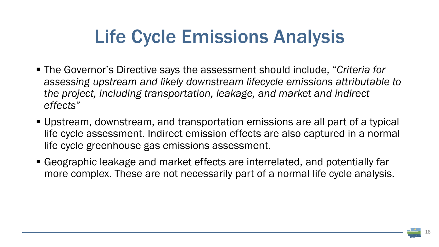### Life Cycle Emissions Analysis

- The Governor's Directive says the assessment should include, "*Criteria for assessing upstream and likely downstream lifecycle emissions attributable to the project, including transportation, leakage, and market and indirect effects"*
- Upstream, downstream, and transportation emissions are all part of a typical life cycle assessment. Indirect emission effects are also captured in a normal life cycle greenhouse gas emissions assessment.
- Geographic leakage and market effects are interrelated, and potentially far more complex. These are not necessarily part of a normal life cycle analysis.

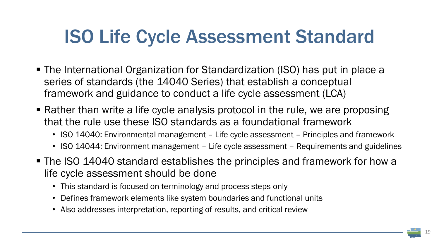

### ISO Life Cycle Assessment Standard

- The International Organization for Standardization (ISO) has put in place a series of standards (the 14040 Series) that establish a conceptual framework and guidance to conduct a life cycle assessment (LCA)
- Rather than write a life cycle analysis protocol in the rule, we are proposing that the rule use these ISO standards as a foundational framework
	- ISO 14040: Environmental management Life cycle assessment Principles and framework
	- ISO 14044: Environment management Life cycle assessment Requirements and guidelines
- The ISO 14040 standard establishes the principles and framework for how a life cycle assessment should be done
	- This standard is focused on terminology and process steps only
	- Defines framework elements like system boundaries and functional units
	- Also addresses interpretation, reporting of results, and critical review
-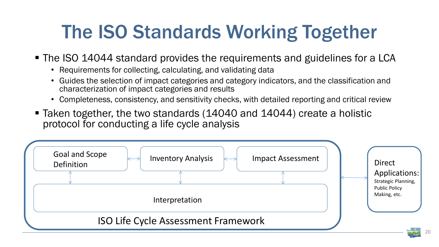## The ISO Standards Working Together

#### ■ The ISO 14044 standard provides the requirements and guidelines for a LCA

- Requirements for collecting, calculating, and validating data
- Guides the selection of impact categories and category indicators, and the classification and characterization of impact categories and results
- Completeness, consistency, and sensitivity checks, with detailed reporting and critical review
- Taken together, the two standards (14040 and 14044) create a holistic protocol for conducting a life cycle analysis

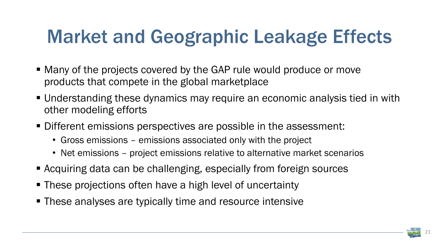### Market and Geographic Leakage Effects

- Many of the projects covered by the GAP rule would produce or move products that compete in the global marketplace
- Understanding these dynamics may require an economic analysis tied in with other modeling efforts
- Different emissions perspectives are possible in the assessment:
	- Gross emissions emissions associated only with the project
	- Net emissions project emissions relative to alternative market scenarios
- Acquiring data can be challenging, especially from foreign sources
- These projections often have a high level of uncertainty
- **These analyses are typically time and resource intensive**

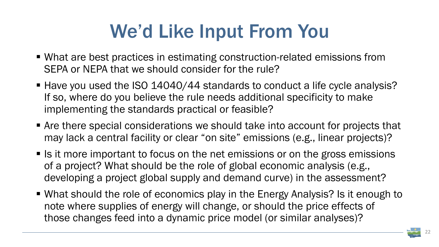### We'd Like Input From You

- What are best practices in estimating construction-related emissions from SEPA or NEPA that we should consider for the rule?
- Have you used the ISO 14040/44 standards to conduct a life cycle analysis? If so, where do you believe the rule needs additional specificity to make implementing the standards practical or feasible?
- **Are there special considerations we should take into account for projects that** may lack a central facility or clear "on site" emissions (e.g., linear projects)?
- $\blacksquare$  Is it more important to focus on the net emissions or on the gross emissions of a project? What should be the role of global economic analysis (e.g., developing a project global supply and demand curve) in the assessment?
- What should the role of economics play in the Energy Analysis? Is it enough to note where supplies of energy will change, or should the price effects of those changes feed into a dynamic price model (or similar analyses)?

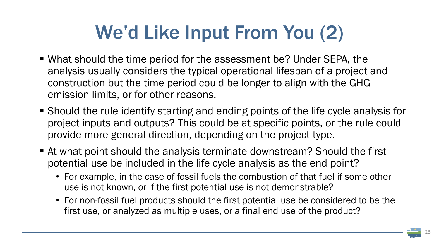### We'd Like Input From You (2)

- What should the time period for the assessment be? Under SEPA, the analysis usually considers the typical operational lifespan of a project and construction but the time period could be longer to align with the GHG emission limits, or for other reasons.
- Should the rule identify starting and ending points of the life cycle analysis for project inputs and outputs? This could be at specific points, or the rule could provide more general direction, depending on the project type.
- At what point should the analysis terminate downstream? Should the first potential use be included in the life cycle analysis as the end point?
	- For example, in the case of fossil fuels the combustion of that fuel if some other use is not known, or if the first potential use is not demonstrable?
	- For non-fossil fuel products should the first potential use be considered to be the first use, or analyzed as multiple uses, or a final end use of the product?

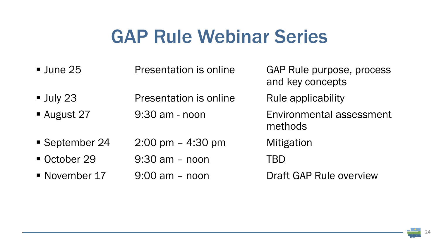

#### GAP Rule Webinar Series

| $\blacksquare$ June 25 | <b>Presentation is online</b>       | GAP<br>and  |
|------------------------|-------------------------------------|-------------|
| $\blacksquare$ July 23 | <b>Presentation is online</b>       | Rule        |
| <b>August 27</b>       | 9:30 am - noon                      | Envi<br>met |
| September 24           | $2:00 \text{ pm} - 4:30 \text{ pm}$ | Mitig       |
| October 29             | $9:30$ am $-$ noon                  | TBD         |
| November 17            | $9:00$ am $-$ noon                  | Draf        |

- AP Rule purpose, process nd key concepts
- ule applicability
- nvironmental assessment **ethods**
- **Iitigation**
- 
- raft GAP Rule overview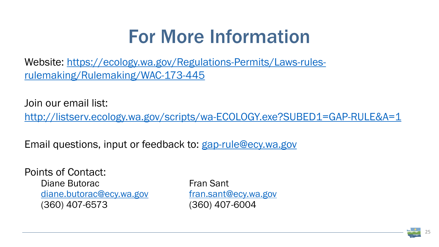# For More Information

Join our email list: <http://listserv.ecology.wa.gov/scripts/wa-ECOLOGY.exe?SUBED1=GAP-RULE&A=1>

Email questions, input or feedback to: [gap-rule@ecy.wa.gov](mailto:gap-rule@ecy.wa.gov)

[Website: https://ecology.wa.gov/Regulations-Permits/Laws-rules](https://ecology.wa.gov/Regulations-Permits/Laws-rules-rulemaking/Rulemaking/WAC-173-445)rulemaking/Rulemaking/WAC-173-445

Points of Contact: Diane Butorac **Fran Sant** [diane.butorac@ecy.wa.gov](mailto:diane.Butorac@ecy.wa.gov) [fran.sant@ecy.wa.gov](mailto:fran.sant@ecy.wa.gov) (360) 407-6573 (360) 407-6004